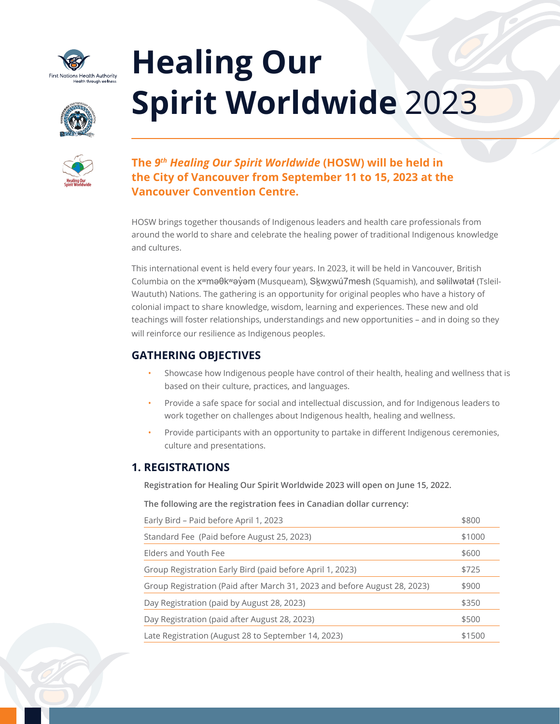

# **Healing Our Spirit Worldwide** 2023





# **The** *9th Healing Our Spirit Worldwide* **(HOSW) will be held in the City of Vancouver from September 11 to 15, 2023 at the Vancouver Convention Centre.**

HOSW brings together thousands of Indigenous leaders and health care professionals from around the world to share and celebrate the healing power of traditional Indigenous knowledge and cultures.

This international event is held every four years. In 2023, it will be held in Vancouver, British Columbia on the x<sup>w</sup>məθk<sup>w</sup>əy̓ əm (Musqueam), Skwxwú7mesh (Squamish), and səlilwətał (Tsleil-Waututh) Nations. The gathering is an opportunity for original peoples who have a history of colonial impact to share knowledge, wisdom, learning and experiences. These new and old teachings will foster relationships, understandings and new opportunities – and in doing so they will reinforce our resilience as Indigenous peoples.

# **GATHERING OBJECTIVES**

- Showcase how Indigenous people have control of their health, healing and wellness that is based on their culture, practices, and languages.
- Provide a safe space for social and intellectual discussion, and for Indigenous leaders to work together on challenges about Indigenous health, healing and wellness.
- Provide participants with an opportunity to partake in different Indigenous ceremonies, culture and presentations.

# **1. REGISTRATIONS**

**Registration for Healing Our Spirit Worldwide 2023 will open on June 15, 2022.** 

**The following are the registration fees in Canadian dollar currency:**

| Early Bird - Paid before April 1, 2023                                    | \$800  |
|---------------------------------------------------------------------------|--------|
| Standard Fee (Paid before August 25, 2023)                                | \$1000 |
| Elders and Youth Fee                                                      | \$600  |
| Group Registration Early Bird (paid before April 1, 2023)                 | \$725  |
| Group Registration (Paid after March 31, 2023 and before August 28, 2023) | \$900  |
| Day Registration (paid by August 28, 2023)                                | \$350  |
| Day Registration (paid after August 28, 2023)                             | \$500  |
| Late Registration (August 28 to September 14, 2023)                       | \$1500 |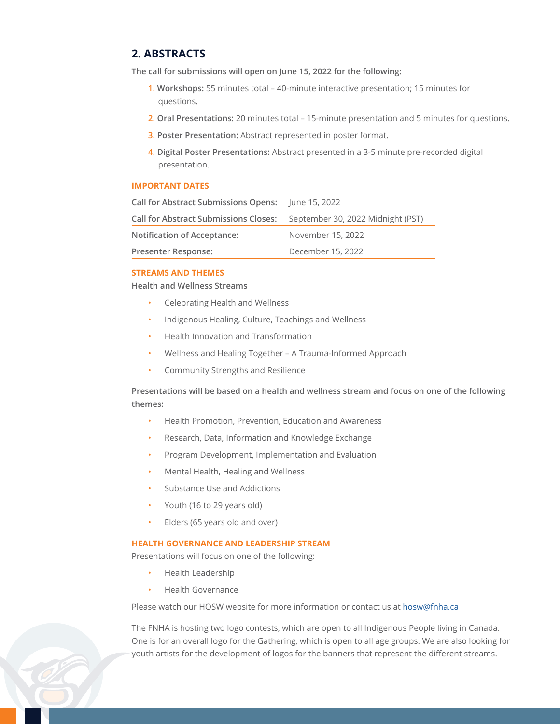## **2. ABSTRACTS**

**The call for submissions will open on June 15, 2022 for the following:** 

- **1. Workshops:** 55 minutes total 40-minute interactive presentation; 15 minutes for questions.
- **2. Oral Presentations:** 20 minutes total 15-minute presentation and 5 minutes for questions.
- **3. Poster Presentation:** Abstract represented in poster format.
- **4. Digital Poster Presentations:** Abstract presented in a 3-5 minute pre-recorded digital presentation.

#### **IMPORTANT DATES**

| Call for Abstract Submissions Opens: June 15, 2022 |                                   |
|----------------------------------------------------|-----------------------------------|
| <b>Call for Abstract Submissions Closes:</b>       | September 30, 2022 Midnight (PST) |
| <b>Notification of Acceptance:</b>                 | November 15, 2022                 |
| <b>Presenter Response:</b>                         | December 15, 2022                 |
|                                                    |                                   |

#### **STREAMS AND THEMES**

**Health and Wellness Streams**

- Celebrating Health and Wellness
- Indigenous Healing, Culture, Teachings and Wellness
- Health Innovation and Transformation
- Wellness and Healing Together A Trauma-Informed Approach
- Community Strengths and Resilience

### **Presentations will be based on a health and wellness stream and focus on one of the following themes:**

- Health Promotion, Prevention, Education and Awareness
- Research, Data, Information and Knowledge Exchange
- Program Development, Implementation and Evaluation
- Mental Health, Healing and Wellness
- Substance Use and Addictions
- Youth (16 to 29 years old)
- Elders (65 years old and over)

#### **HEALTH GOVERNANCE AND LEADERSHIP STREAM**

Presentations will focus on one of the following:

- Health Leadership
- Health Governance

Please watch our HOSW website for more information or contact us at [hosw@fnha.ca](mailto:hosw@fnha.ca)

The FNHA is hosting two logo contests, which are open to all Indigenous People living in Canada. One is for an overall logo for the Gathering, which is open to all age groups. We are also looking for youth artists for the development of logos for the banners that represent the different streams.